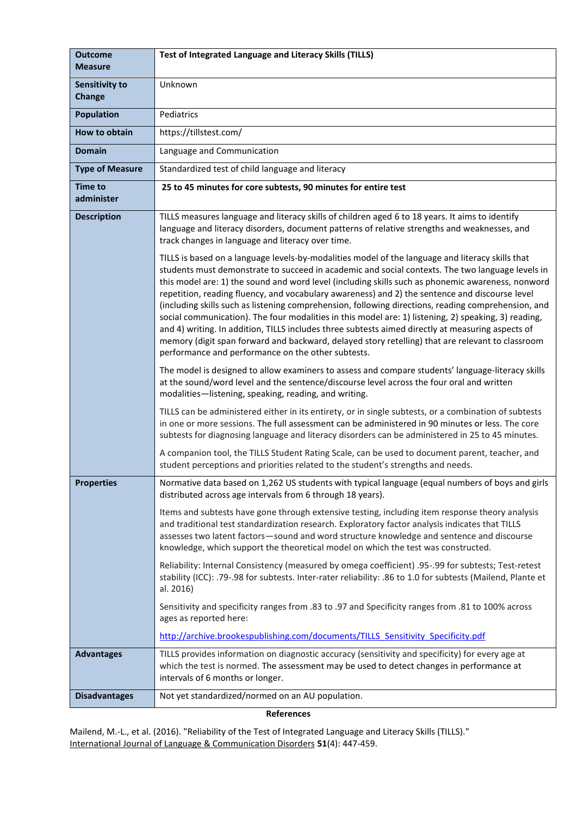| <b>Outcome</b><br><b>Measure</b> | Test of Integrated Language and Literacy Skills (TILLS)                                                                                                                                                                                                                                                                                                                                                                                                                                                                                                                                                                                                                                                                                                                                                                                                                                   |
|----------------------------------|-------------------------------------------------------------------------------------------------------------------------------------------------------------------------------------------------------------------------------------------------------------------------------------------------------------------------------------------------------------------------------------------------------------------------------------------------------------------------------------------------------------------------------------------------------------------------------------------------------------------------------------------------------------------------------------------------------------------------------------------------------------------------------------------------------------------------------------------------------------------------------------------|
| <b>Sensitivity to</b><br>Change  | Unknown                                                                                                                                                                                                                                                                                                                                                                                                                                                                                                                                                                                                                                                                                                                                                                                                                                                                                   |
| <b>Population</b>                | Pediatrics                                                                                                                                                                                                                                                                                                                                                                                                                                                                                                                                                                                                                                                                                                                                                                                                                                                                                |
| How to obtain                    | https://tillstest.com/                                                                                                                                                                                                                                                                                                                                                                                                                                                                                                                                                                                                                                                                                                                                                                                                                                                                    |
| <b>Domain</b>                    | Language and Communication                                                                                                                                                                                                                                                                                                                                                                                                                                                                                                                                                                                                                                                                                                                                                                                                                                                                |
| <b>Type of Measure</b>           | Standardized test of child language and literacy                                                                                                                                                                                                                                                                                                                                                                                                                                                                                                                                                                                                                                                                                                                                                                                                                                          |
| <b>Time to</b><br>administer     | 25 to 45 minutes for core subtests, 90 minutes for entire test                                                                                                                                                                                                                                                                                                                                                                                                                                                                                                                                                                                                                                                                                                                                                                                                                            |
| <b>Description</b>               | TILLS measures language and literacy skills of children aged 6 to 18 years. It aims to identify<br>language and literacy disorders, document patterns of relative strengths and weaknesses, and<br>track changes in language and literacy over time.                                                                                                                                                                                                                                                                                                                                                                                                                                                                                                                                                                                                                                      |
|                                  | TILLS is based on a language levels-by-modalities model of the language and literacy skills that<br>students must demonstrate to succeed in academic and social contexts. The two language levels in<br>this model are: 1) the sound and word level (including skills such as phonemic awareness, nonword<br>repetition, reading fluency, and vocabulary awareness) and 2) the sentence and discourse level<br>(including skills such as listening comprehension, following directions, reading comprehension, and<br>social communication). The four modalities in this model are: 1) listening, 2) speaking, 3) reading,<br>and 4) writing. In addition, TILLS includes three subtests aimed directly at measuring aspects of<br>memory (digit span forward and backward, delayed story retelling) that are relevant to classroom<br>performance and performance on the other subtests. |
|                                  | The model is designed to allow examiners to assess and compare students' language-literacy skills<br>at the sound/word level and the sentence/discourse level across the four oral and written<br>modalities-listening, speaking, reading, and writing.                                                                                                                                                                                                                                                                                                                                                                                                                                                                                                                                                                                                                                   |
|                                  | TILLS can be administered either in its entirety, or in single subtests, or a combination of subtests<br>in one or more sessions. The full assessment can be administered in 90 minutes or less. The core<br>subtests for diagnosing language and literacy disorders can be administered in 25 to 45 minutes.                                                                                                                                                                                                                                                                                                                                                                                                                                                                                                                                                                             |
|                                  | A companion tool, the TILLS Student Rating Scale, can be used to document parent, teacher, and<br>student perceptions and priorities related to the student's strengths and needs.                                                                                                                                                                                                                                                                                                                                                                                                                                                                                                                                                                                                                                                                                                        |
| <b>Properties</b>                | Normative data based on 1,262 US students with typical language (equal numbers of boys and girls<br>distributed across age intervals from 6 through 18 years).                                                                                                                                                                                                                                                                                                                                                                                                                                                                                                                                                                                                                                                                                                                            |
|                                  | Items and subtests have gone through extensive testing, including item response theory analysis<br>and traditional test standardization research. Exploratory factor analysis indicates that TILLS<br>assesses two latent factors-sound and word structure knowledge and sentence and discourse<br>knowledge, which support the theoretical model on which the test was constructed.                                                                                                                                                                                                                                                                                                                                                                                                                                                                                                      |
|                                  | Reliability: Internal Consistency (measured by omega coefficient) .95-.99 for subtests; Test-retest<br>stability (ICC): .79-.98 for subtests. Inter-rater reliability: .86 to 1.0 for subtests (Mailend, Plante et<br>al. 2016)                                                                                                                                                                                                                                                                                                                                                                                                                                                                                                                                                                                                                                                           |
|                                  | Sensitivity and specificity ranges from .83 to .97 and Specificity ranges from .81 to 100% across<br>ages as reported here:                                                                                                                                                                                                                                                                                                                                                                                                                                                                                                                                                                                                                                                                                                                                                               |
|                                  | http://archive.brookespublishing.com/documents/TILLS Sensitivity Specificity.pdf                                                                                                                                                                                                                                                                                                                                                                                                                                                                                                                                                                                                                                                                                                                                                                                                          |
| <b>Advantages</b>                | TILLS provides information on diagnostic accuracy (sensitivity and specificity) for every age at<br>which the test is normed. The assessment may be used to detect changes in performance at<br>intervals of 6 months or longer.                                                                                                                                                                                                                                                                                                                                                                                                                                                                                                                                                                                                                                                          |
| <b>Disadvantages</b>             | Not yet standardized/normed on an AU population.                                                                                                                                                                                                                                                                                                                                                                                                                                                                                                                                                                                                                                                                                                                                                                                                                                          |

**References**

Mailend, M.-L., et al. (2016). "Reliability of the Test of Integrated Language and Literacy Skills (TILLS)." International Journal of Language & Communication Disorders **51**(4): 447-459.